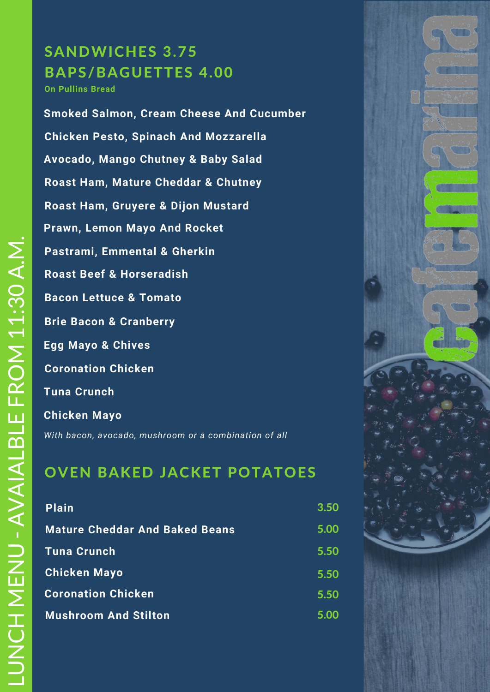# SANDWICHES 3.75 BAPS/BAGUETTES 4.00

**On Pullins Bread**

**Roast Ham, Mature Cheddar & Chutney Bacon Lettuce & Tomato Brie Bacon & Cranberry Roast Beef & Horseradish Pastrami, Emmental & Gherkin Coronation Chicken Chicken Pesto, Spinach And Mozzarella Smoked Salmon, Cream Cheese And Cucumber Tuna Crunch Prawn, Lemon Mayo And Rocket Chicken Mayo Roast Ham, Gruyere & Dijon Mustard Egg Mayo & Chives Avocado, Mango Chutney & Baby Salad**

*With bacon, avocado, mushroom or a combination of all*

### OVEN BAKED JACKET POTATOES

| <b>Plain</b>                          | 3.50 |
|---------------------------------------|------|
| <b>Mature Cheddar And Baked Beans</b> | 5.00 |
| <b>Tuna Crunch</b>                    | 5.50 |
| <b>Chicken Mayo</b>                   | 5.50 |
| <b>Coronation Chicken</b>             | 5.50 |
| <b>Mushroom And Stilton</b>           | 5.00 |

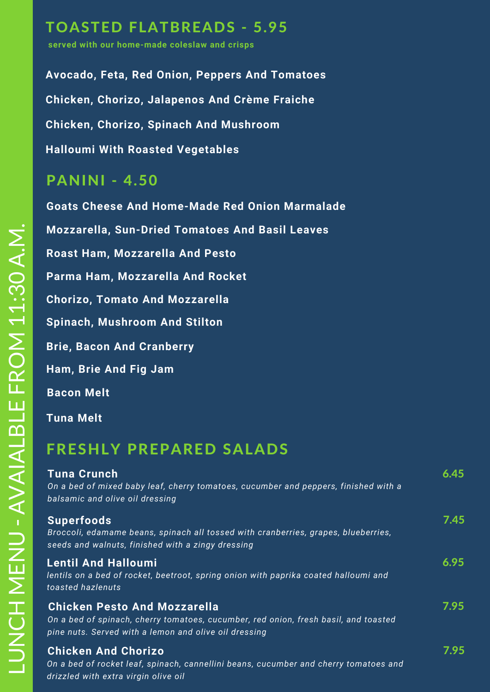## TOASTED FLATBREADS - 5.95

**served with our home-made coleslaw and crisps**

**Halloumi With Roasted Vegetables Avocado, Feta, Red Onion, Peppers And Tomatoes Chicken, Chorizo, Jalapenos And Crème Fraiche Chicken, Chorizo, Spinach And Mushroom**

#### PANINI - 4.50

 **Ham, Brie And Fig Jam Goats Cheese And Home-Made Red Onion Marmalade Chorizo, Tomato And Mozzarella Parma Ham, Mozzarella And Rocket Roast Ham, Mozzarella And Pesto Brie, Bacon And Cranberry Spinach, Mushroom And Stilton Tuna Melt Bacon Melt Mozzarella, Sun-Dried Tomatoes And Basil Leaves**

### FRESHLY PREPARED SALADS

| <b>Tuna Crunch</b><br>On a bed of mixed baby leaf, cherry tomatoes, cucumber and peppers, finished with a<br>balsamic and olive oil dressing                                        | 6.45 |
|-------------------------------------------------------------------------------------------------------------------------------------------------------------------------------------|------|
| <b>Superfoods</b><br>Broccoli, edamame beans, spinach all tossed with cranberries, grapes, blueberries,<br>seeds and walnuts, finished with a zingy dressing                        | 7.45 |
| <b>Lentil And Halloumi</b><br>lentils on a bed of rocket, beetroot, spring onion with paprika coated halloumi and<br>toasted hazlenuts                                              | 6.95 |
| <b>Chicken Pesto And Mozzarella</b><br>On a bed of spinach, cherry tomatoes, cucumber, red onion, fresh basil, and toasted<br>pine nuts. Served with a lemon and olive oil dressing | 7.95 |
| <b>Chicken And Chorizo</b><br>On a bed of rocket leaf, spinach, cannellini beans, cucumber and cherry tomatoes and<br>drizzled with extra virgin olive oil                          | 7.95 |